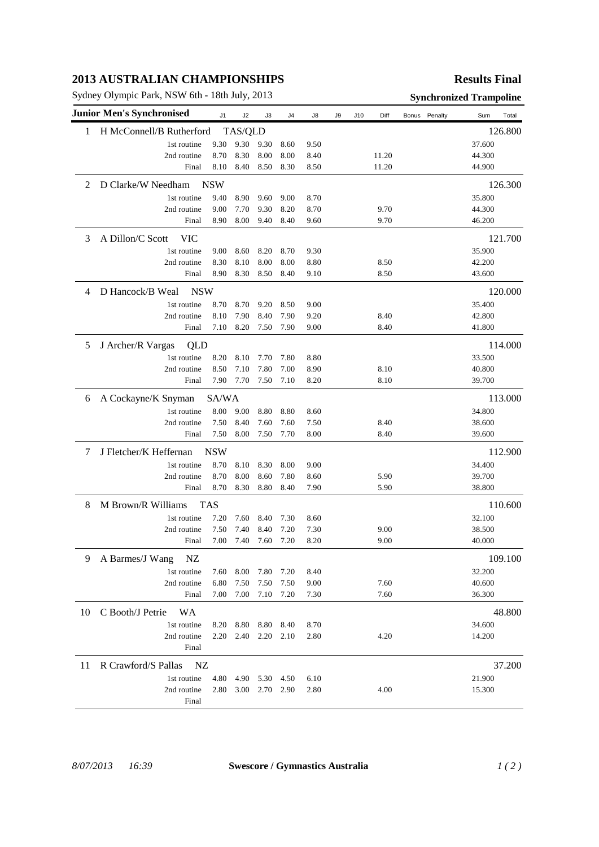## **2013 AUSTRALIAN CHAMPIONSHIPS**

Sydney Olympic Park, NSW 6th - 18th July, 2013 **Synchronized Trampoline** 

## **Results Final**

|    | <b>Junior Men's Synchronised</b> | J1         | J2      | J3   | J4        | J8   | J9 | J10 | Diff  |  | Bonus Penalty | Sum    | Total   |
|----|----------------------------------|------------|---------|------|-----------|------|----|-----|-------|--|---------------|--------|---------|
| 1  | H McConnell/B Rutherford         |            | TAS/QLD |      |           |      |    |     |       |  |               |        | 126.800 |
|    | 1st routine                      | 9.30       | 9.30    | 9.30 | 8.60      | 9.50 |    |     |       |  |               | 37.600 |         |
|    | 2nd routine                      | 8.70       | 8.30    | 8.00 | 8.00      | 8.40 |    |     | 11.20 |  |               | 44.300 |         |
|    | Final                            | 8.10       | 8.40    | 8.50 | 8.30      | 8.50 |    |     | 11.20 |  |               | 44.900 |         |
| 2  | D Clarke/W Needham               | <b>NSW</b> |         |      |           |      |    |     |       |  |               |        | 126.300 |
|    | 1st routine                      | 9.40       | 8.90    | 9.60 | 9.00      | 8.70 |    |     |       |  |               | 35.800 |         |
|    | 2nd routine                      | 9.00       | 7.70    | 9.30 | 8.20      | 8.70 |    |     | 9.70  |  |               | 44.300 |         |
|    | Final                            | 8.90       | 8.00    | 9.40 | 8.40      | 9.60 |    |     | 9.70  |  |               | 46.200 |         |
| 3  | A Dillon/C Scott<br><b>VIC</b>   |            |         |      |           |      |    |     |       |  |               |        | 121.700 |
|    | 1st routine                      | 9.00       | 8.60    | 8.20 | 8.70      | 9.30 |    |     |       |  |               | 35.900 |         |
|    | 2nd routine                      | 8.30       | 8.10    | 8.00 | 8.00      | 8.80 |    |     | 8.50  |  |               | 42.200 |         |
|    | Final                            | 8.90       | 8.30    | 8.50 | 8.40      | 9.10 |    |     | 8.50  |  |               | 43.600 |         |
| 4  | D Hancock/B Weal<br><b>NSW</b>   |            |         |      |           |      |    |     |       |  |               |        | 120.000 |
|    | 1st routine                      | 8.70       | 8.70    | 9.20 | 8.50      | 9.00 |    |     |       |  |               | 35.400 |         |
|    | 2nd routine                      | 8.10       | 7.90    | 8.40 | 7.90      | 9.20 |    |     | 8.40  |  |               | 42.800 |         |
|    | Final                            | 7.10       | 8.20    | 7.50 | 7.90      | 9.00 |    |     | 8.40  |  |               | 41.800 |         |
| 5  | J Archer/R Vargas<br>QLD         |            |         |      |           |      |    |     |       |  |               |        | 114.000 |
|    | 1st routine                      | 8.20       | 8.10    | 7.70 | 7.80      | 8.80 |    |     |       |  |               | 33.500 |         |
|    | 2nd routine                      | 8.50       | 7.10    | 7.80 | 7.00      | 8.90 |    |     | 8.10  |  |               | 40.800 |         |
|    | Final                            | 7.90       | 7.70    | 7.50 | 7.10      | 8.20 |    |     | 8.10  |  |               | 39.700 |         |
| 6  | A Cockayne/K Snyman              | SA/WA      |         |      |           |      |    |     |       |  |               |        | 113.000 |
|    | 1st routine                      | 8.00       | 9.00    | 8.80 | 8.80      | 8.60 |    |     |       |  |               | 34.800 |         |
|    | 2nd routine                      | 7.50       | 8.40    | 7.60 | 7.60      | 7.50 |    |     | 8.40  |  |               | 38.600 |         |
|    | Final                            | 7.50       | 8.00    | 7.50 | 7.70      | 8.00 |    |     | 8.40  |  |               | 39.600 |         |
| 7  | J Fletcher/K Heffernan           | <b>NSW</b> |         |      |           |      |    |     |       |  |               |        | 112.900 |
|    | 1st routine                      | 8.70       | 8.10    | 8.30 | 8.00      | 9.00 |    |     |       |  |               | 34.400 |         |
|    | 2nd routine                      | 8.70       | 8.00    | 8.60 | 7.80      | 8.60 |    |     | 5.90  |  |               | 39.700 |         |
|    | Final                            | 8.70       | 8.30    | 8.80 | 8.40      | 7.90 |    |     | 5.90  |  |               | 38.800 |         |
| 8  | M Brown/R Williams<br><b>TAS</b> |            |         |      |           |      |    |     |       |  | 110.600       |        |         |
|    | 1st routine                      | 7.20       | 7.60    | 8.40 | 7.30      | 8.60 |    |     |       |  |               | 32.100 |         |
|    | 2nd routine                      | 7.50       | 7.40    | 8.40 | 7.20      | 7.30 |    |     | 9.00  |  |               | 38.500 |         |
|    | Final                            | 7.00       | 7.40    | 7.60 | 7.20      | 8.20 |    |     | 9.00  |  |               | 40.000 |         |
| 9  | A Barmes/J Wang<br>NZ            |            |         |      |           |      |    |     |       |  |               |        | 109.100 |
|    | 1st routine                      | 7.60       | 8.00    | 7.80 | 7.20      | 8.40 |    |     |       |  |               | 32.200 |         |
|    | 2nd routine                      | 6.80       | 7.50    | 7.50 | 7.50      | 9.00 |    |     | 7.60  |  |               | 40.600 |         |
|    | Final                            | 7.00       | 7.00    | 7.10 | 7.20      | 7.30 |    |     | 7.60  |  |               | 36.300 |         |
| 10 | C Booth/J Petrie<br>WA           |            |         |      |           |      |    |     |       |  |               |        | 48.800  |
|    | 1st routine                      | 8.20       | 8.80    | 8.80 | 8.40      | 8.70 |    |     |       |  |               | 34.600 |         |
|    | 2nd routine                      | 2.20       | 2.40    | 2.20 | 2.10      | 2.80 |    |     | 4.20  |  |               | 14.200 |         |
|    | Final                            |            |         |      |           |      |    |     |       |  |               |        |         |
| 11 | R Crawford/S Pallas<br>NZ        |            |         |      |           |      |    |     |       |  |               |        | 37.200  |
|    | 1st routine                      | 4.80       | 4.90    | 5.30 | 4.50      | 6.10 |    |     |       |  |               | 21.900 |         |
|    | 2nd routine                      | 2.80       | 3.00    |      | 2.70 2.90 | 2.80 |    |     | 4.00  |  |               | 15.300 |         |
|    | Final                            |            |         |      |           |      |    |     |       |  |               |        |         |